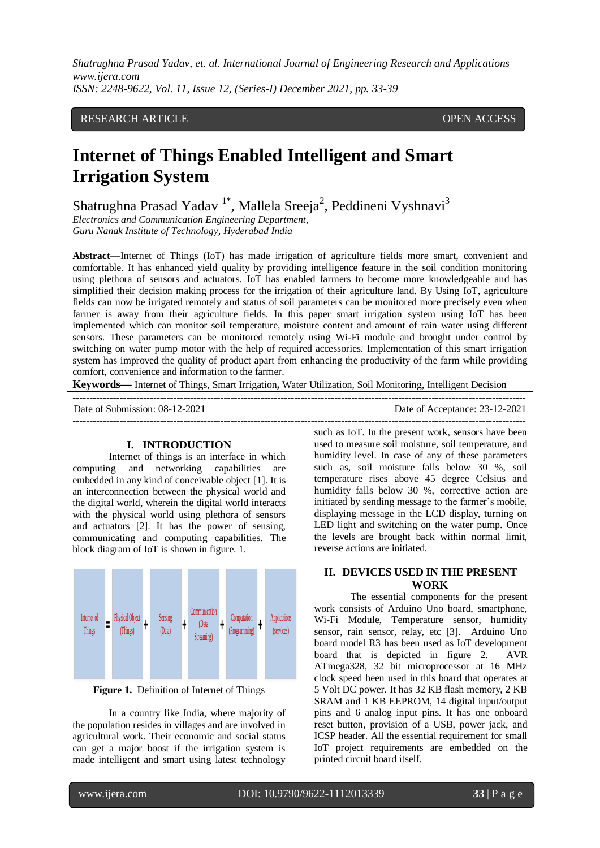# RESEARCH ARTICLE **CONSERVERS** OPEN ACCESS

# **Internet of Things Enabled Intelligent and Smart Irrigation System**

Shatrughna Prasad Yadav<sup>1\*</sup>, Mallela Sreeja<sup>2</sup>, Peddineni Vyshnavi<sup>3</sup>

*Electronics and Communication Engineering Department, Guru Nanak Institute of Technology, Hyderabad India*

**Abstract—**Internet of Things (IoT) has made irrigation of agriculture fields more smart, convenient and comfortable. It has enhanced yield quality by providing intelligence feature in the soil condition monitoring using plethora of sensors and actuators. IoT has enabled farmers to become more knowledgeable and has simplified their decision making process for the irrigation of their agriculture land. By Using IoT, agriculture fields can now be irrigated remotely and status of soil parameters can be monitored more precisely even when farmer is away from their agriculture fields. In this paper smart irrigation system using IoT has been implemented which can monitor soil temperature, moisture content and amount of rain water using different sensors. These parameters can be monitored remotely using Wi-Fi module and brought under control by switching on water pump motor with the help of required accessories. Implementation of this smart irrigation system has improved the quality of product apart from enhancing the productivity of the farm while providing comfort, convenience and information to the farmer.

**Keywords—** Internet of Things, Smart Irrigation**,** Water Utilization, Soil Monitoring, Intelligent Decision

---------------------------------------------------------------------------------------------------------------------------------------

---------------------------------------------------------------------------------------------------------------------------------------

Date of Submission: 08-12-2021 Date of Acceptance: 23-12-2021

#### **I. INTRODUCTION**

Internet of things is an interface in which computing and networking capabilities are embedded in any kind of conceivable object [1]. It is an interconnection between the physical world and the digital world, wherein the digital world interacts with the physical world using plethora of sensors and actuators [2]. It has the power of sensing, communicating and computing capabilities. The block diagram of IoT is shown in figure. 1.



**Figure 1.** Definition of Internet of Things

In a country like India, where majority of the population resides in villages and are involved in agricultural work. Their economic and social status can get a major boost if the irrigation system is made intelligent and smart using latest technology such as IoT. In the present work, sensors have been used to measure soil moisture, soil temperature, and humidity level. In case of any of these parameters such as, soil moisture falls below 30 %, soil temperature rises above 45 degree Celsius and humidity falls below 30 %, corrective action are initiated by sending message to the farmer's mobile, displaying message in the LCD display, turning on LED light and switching on the water pump. Once the levels are brought back within normal limit, reverse actions are initiated.

# **II. DEVICES USED IN THE PRESENT WORK**

The essential components for the present work consists of Arduino Uno board, smartphone, Wi-Fi Module, Temperature sensor, humidity sensor, rain sensor, relay, etc [3]. Arduino Uno board model R3 has been used as IoT development board that is depicted in figure 2. AVR ATmega328, 32 bit microprocessor at 16 MHz clock speed been used in this board that operates at 5 Volt DC power. It has 32 KB flash memory, 2 KB SRAM and 1 KB EEPROM, 14 digital input/output pins and 6 analog input pins. It has one onboard reset button, provision of a USB, power jack, and ICSP header. All the essential requirement for small IoT project requirements are embedded on the printed circuit board itself.

l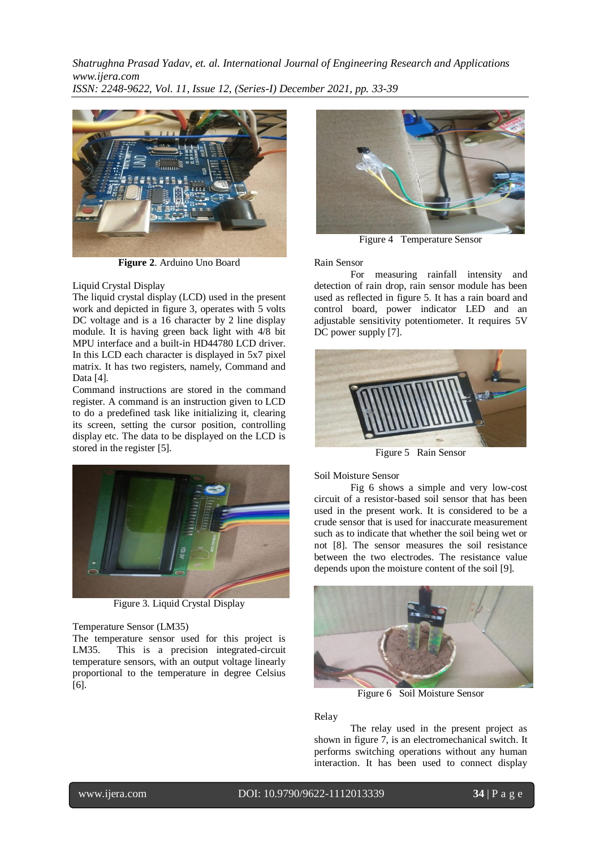

**Figure 2**. Arduino Uno Board

## Liquid Crystal Display

The liquid crystal display (LCD) used in the present work and depicted in figure 3, operates with 5 volts DC voltage and is a 16 character by 2 line display module. It is having green back light with 4/8 bit MPU interface and a built-in HD44780 LCD driver. In this LCD each character is displayed in 5x7 pixel matrix. It has two registers, namely, Command and Data [4].

Command instructions are stored in the command register. A command is an instruction given to LCD to do a predefined task like initializing it, clearing its screen, setting the cursor position, controlling display etc. The data to be displayed on the LCD is stored in the register [5].



Figure 3. Liquid Crystal Display

#### Temperature Sensor (LM35)

The temperature sensor used for this project is LM35. This is a precision integrated-circuit temperature sensors, with an output voltage linearly proportional to the temperature in degree Celsius [6].



Figure 4 Temperature Sensor

Rain Sensor

For measuring rainfall intensity and detection of rain drop, rain sensor module has been used as reflected in figure 5. It has a rain board and control board, power indicator LED and an adjustable sensitivity potentiometer. It requires 5V DC power supply [7].



Figure 5 Rain Sensor

Soil Moisture Sensor

Fig 6 shows a simple and very low-cost circuit of a resistor-based soil sensor that has been used in the present work. It is considered to be a crude sensor that is used for inaccurate measurement such as to indicate that whether the soil being wet or not [8]. The sensor measures the soil resistance between the two electrodes. The resistance value depends upon the moisture content of the soil [9].



Figure 6 Soil Moisture Sensor

Relay

The relay used in the present project as shown in figure 7, is an electromechanical switch. It performs switching operations without any human interaction. It has been used to connect display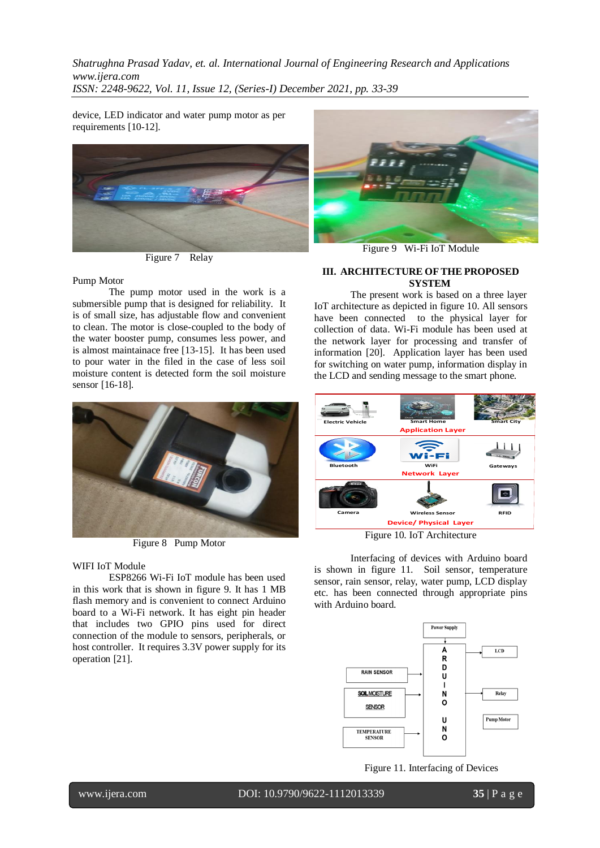device, LED indicator and water pump motor as per requirements [10-12].



Figure 7 Relay

Pump Motor

The pump motor used in the work is a submersible pump that is designed for reliability. It is of small size, has adjustable flow and convenient to clean. The motor is close-coupled to the body of the water booster pump, consumes less power, and is almost maintainace free [13-15]. It has been used to pour water in the filed in the case of less soil moisture content is detected form the soil moisture sensor [16-18].



Figure 8 Pump Motor

## WIFI IoT Module

ESP8266 Wi-Fi IoT module has been used in this work that is shown in figure 9. It has 1 MB flash memory and is convenient to connect Arduino board to a Wi-Fi network. It has eight pin header that includes two GPIO pins used for direct connection of the module to sensors, peripherals, or host controller. It requires 3.3V power supply for its operation [21].



Figure 9 Wi-Fi IoT Module

#### **III. ARCHITECTURE OF THE PROPOSED SYSTEM**

The present work is based on a three layer IoT architecture as depicted in figure 10. All sensors have been connected to the physical layer for collection of data. Wi-Fi module has been used at the network layer for processing and transfer of information [20]. Application layer has been used for switching on water pump, information display in the LCD and sending message to the smart phone.



Figure 10. IoT Architecture

Interfacing of devices with Arduino board is shown in figure 11. Soil sensor, temperature sensor, rain sensor, relay, water pump, LCD display etc. has been connected through appropriate pins with Arduino board.



Figure 11. Interfacing of Devices

www.ijera.com DOI: 10.9790/9622-1112013339 **35** | P a g e l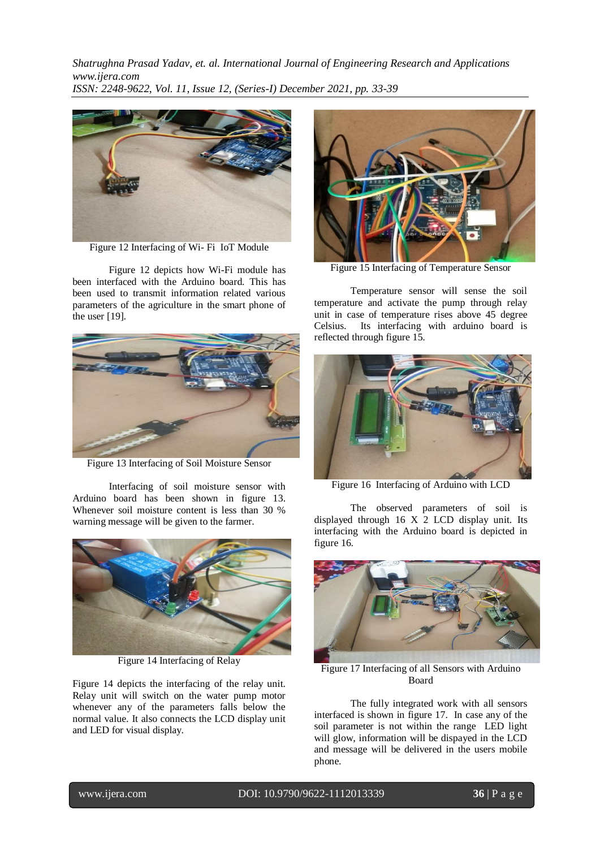

Figure 12 Interfacing of Wi- Fi IoT Module

Figure 12 depicts how Wi-Fi module has been interfaced with the Arduino board. This has been used to transmit information related various parameters of the agriculture in the smart phone of the user [19].



Figure 13 Interfacing of Soil Moisture Sensor

Interfacing of soil moisture sensor with Arduino board has been shown in figure 13. Whenever soil moisture content is less than 30 % warning message will be given to the farmer.



Figure 14 Interfacing of Relay

Figure 14 depicts the interfacing of the relay unit. Relay unit will switch on the water pump motor whenever any of the parameters falls below the normal value. It also connects the LCD display unit and LED for visual display.



Figure 15 Interfacing of Temperature Sensor

Temperature sensor will sense the soil temperature and activate the pump through relay unit in case of temperature rises above 45 degree Celsius. Its interfacing with arduino board is reflected through figure 15.



Figure 16 Interfacing of Arduino with LCD

The observed parameters of soil is displayed through 16 X 2 LCD display unit. Its interfacing with the Arduino board is depicted in figure 16.



Figure 17 Interfacing of all Sensors with Arduino Board

The fully integrated work with all sensors interfaced is shown in figure 17. In case any of the soil parameter is not within the range LED light will glow, information will be dispayed in the LCD and message will be delivered in the users mobile phone.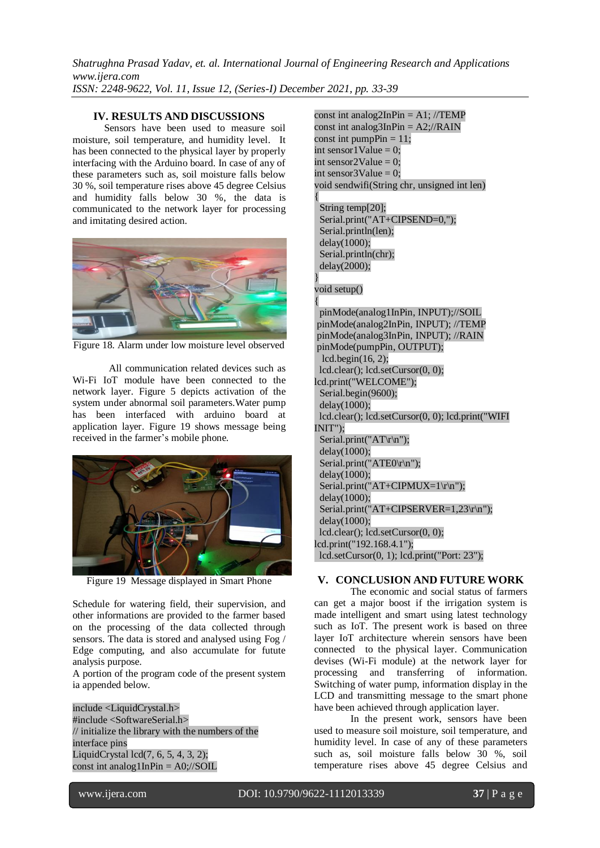## **IV. RESULTS AND DISCUSSIONS**

Sensors have been used to measure soil moisture, soil temperature, and humidity level. It has been connected to the physical layer by properly interfacing with the Arduino board. In case of any of these parameters such as, soil moisture falls below 30 %, soil temperature rises above 45 degree Celsius and humidity falls below 30 %, the data is communicated to the network layer for processing and imitating desired action.



Figure 18. Alarm under low moisture level observed

All communication related devices such as Wi-Fi IoT module have been connected to the network layer. Figure 5 depicts activation of the system under abnormal soil parameters.Water pump has been interfaced with arduino board at application layer. Figure 19 shows message being received in the farmer's mobile phone.



Figure 19 Message displayed in Smart Phone

Schedule for watering field, their supervision, and other informations are provided to the farmer based on the processing of the data collected through sensors. The data is stored and analysed using Fog / Edge computing, and also accumulate for futute analysis purpose.

A portion of the program code of the present system ia appended below.

include <LiquidCrystal.h> #include <SoftwareSerial.h> // initialize the library with the numbers of the interface pins LiquidCrystal lcd(7, 6, 5, 4, 3, 2); const int analog  $1InPin = AO<sub>i</sub>//SOIL$ 

const int analog2InPin =  $A1$ ; //TEMP const int analog $3InPin = A2$ ;//RAIN const int pumpPin  $= 11$ ; int sensor1Value =  $0$ : int sensor2Value =  $0$ : int sensor $3$ Value = 0: void sendwifi(String chr, unsigned int len) { String temp[20]; Serial.print("AT+CIPSEND=0,"); Serial.println(len); delay(1000); Serial.println(chr); delay(2000); } void setup() { pinMode(analog1InPin, INPUT);//SOIL pinMode(analog2InPin, INPUT); //TEMP pinMode(analog3InPin, INPUT); //RAIN pinMode(pumpPin, OUTPUT); lcd.begin(16, 2); lcd.clear(); lcd.setCursor(0, 0); lcd.print("WELCOME"); Serial.begin(9600); delay(1000); lcd.clear(); lcd.setCursor(0, 0); lcd.print("WIFI INIT"); Serial.print("AT\r\n"); delay(1000); Serial.print("ATE0\r\n"); delay(1000); Serial.print("AT+CIPMUX=1\r\n"); delay(1000); Serial.print("AT+CIPSERVER=1,23\r\n"); delay(1000); lcd.clear(); lcd.setCursor(0, 0); lcd.print("192.168.4.1"); lcd.setCursor(0, 1); lcd.print("Port: 23");

## **V. CONCLUSION AND FUTURE WORK**

The economic and social status of farmers can get a major boost if the irrigation system is made intelligent and smart using latest technology such as IoT. The present work is based on three layer IoT architecture wherein sensors have been connected to the physical layer. Communication devises (Wi-Fi module) at the network layer for processing and transferring of information. Switching of water pump, information display in the LCD and transmitting message to the smart phone have been achieved through application layer.

In the present work, sensors have been used to measure soil moisture, soil temperature, and humidity level. In case of any of these parameters such as, soil moisture falls below 30 %, soil temperature rises above 45 degree Celsius and

www.ijera.com DOI: 10.9790/9622-1112013339 **37** | P a g e

l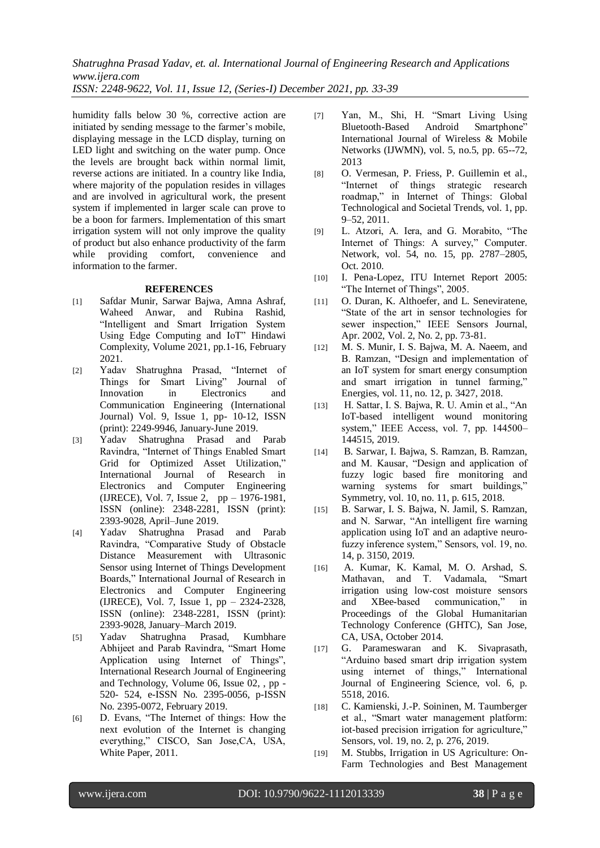*Shatrughna Prasad Yadav, et. al. International Journal of Engineering Research and Applications www.ijera.com*

*ISSN: 2248-9622, Vol. 11, Issue 12, (Series-I) December 2021, pp. 33-39*

humidity falls below 30 %, corrective action are initiated by sending message to the farmer's mobile, displaying message in the LCD display, turning on LED light and switching on the water pump. Once the levels are brought back within normal limit, reverse actions are initiated. In a country like India, where majority of the population resides in villages and are involved in agricultural work, the present system if implemented in larger scale can prove to be a boon for farmers. Implementation of this smart irrigation system will not only improve the quality of product but also enhance productivity of the farm while providing comfort, convenience and information to the farmer.

#### **REFERENCES**

- [1] Safdar Munir, Sarwar Bajwa, Amna Ashraf, Waheed Anwar, and Rubina Rashid, "Intelligent and Smart Irrigation System Using Edge Computing and IoT" Hindawi Complexity, Volume 2021, pp.1-16, February 2021.
- [2] Yadav Shatrughna Prasad, "Internet of Things for Smart Living" Journal of Innovation in Electronics and Communication Engineering (International Journal) Vol. 9, Issue 1, pp- 10-12, ISSN (print): 2249-9946, January-June 2019.
- [3] Yadav Shatrughna Prasad and Parab Ravindra, "Internet of Things Enabled Smart Grid for Optimized Asset Utilization," International Journal of Research in Electronics and Computer Engineering (IJRECE), Vol. 7, Issue 2, pp – 1976-1981, ISSN (online): 2348-2281, ISSN (print): 2393-9028, April–June 2019.
- [4] Yadav Shatrughna Prasad and Parab Ravindra, "Comparative Study of Obstacle Distance Measurement with Ultrasonic Sensor using Internet of Things Development Boards," International Journal of Research in Electronics and Computer Engineering (IJRECE), Vol. 7, Issue 1, pp – 2324-2328, ISSN (online): 2348-2281, ISSN (print): 2393-9028, January–March 2019.
- [5] Yadav Shatrughna Prasad, Kumbhare Abhijeet and Parab Ravindra, "Smart Home Application using Internet of Things", International Research Journal of Engineering and Technology, Volume 06, Issue 02, , pp - 520- 524, e-ISSN No. 2395-0056, p-ISSN No. 2395-0072, February 2019.
- [6] D. Evans, "The Internet of things: How the next evolution of the Internet is changing everything," CISCO, San Jose,CA, USA, White Paper, 2011.
- [7] Yan, M., Shi, H. "Smart Living Using Bluetooth-Based Android Smartphone" International Journal of Wireless & Mobile Networks (IJWMN), vol. 5, no.5, pp. 65--72, 2013
- [8] O. Vermesan, P. Friess, P. Guillemin et al., "Internet of things strategic research roadmap," in Internet of Things: Global Technological and Societal Trends, vol. 1, pp. 9–52, 2011.
- [9] L. Atzori, A. Iera, and G. Morabito, "The Internet of Things: A survey," Computer. Network, vol. 54, no. 15, pp. 2787–2805, Oct. 2010.
- [10] I. Pena-Lopez, ITU Internet Report 2005: "The Internet of Things", 2005.
- [11] O. Duran, K. Althoefer, and L. Seneviratene, "State of the art in sensor technologies for sewer inspection," IEEE Sensors Journal, Apr. 2002, Vol. 2, No. 2, pp. 73-81.
- [12] M. S. Munir, I. S. Bajwa, M. A. Naeem, and B. Ramzan, "Design and implementation of an IoT system for smart energy consumption and smart irrigation in tunnel farming," Energies, vol. 11, no. 12, p. 3427, 2018.
- [13] H. Sattar, I. S. Bajwa, R. U. Amin et al., "An IoT-based intelligent wound monitoring system," IEEE Access, vol. 7, pp. 144500– 144515, 2019.
- [14] B. Sarwar, I. Bajwa, S. Ramzan, B. Ramzan, and M. Kausar, "Design and application of fuzzy logic based fire monitoring and warning systems for smart buildings," Symmetry, vol. 10, no. 11, p. 615, 2018.
- [15] B. Sarwar, I. S. Bajwa, N. Jamil, S. Ramzan, and N. Sarwar, "An intelligent fire warning application using IoT and an adaptive neurofuzzy inference system," Sensors, vol. 19, no. 14, p. 3150, 2019.
- [16] A. Kumar, K. Kamal, M. O. Arshad, S. Mathavan, and T. Vadamala, "Smart irrigation using low-cost moisture sensors and XBee-based communication," in Proceedings of the Global Humanitarian Technology Conference (GHTC), San Jose, CA, USA, October 2014.
- [17] G. Parameswaran and K. Sivaprasath, "Arduino based smart drip irrigation system using internet of things," International Journal of Engineering Science, vol. 6, p. 5518, 2016.
- [18] C. Kamienski, J.-P. Soininen, M. Taumberger et al., "Smart water management platform: iot-based precision irrigation for agriculture," Sensors, vol. 19, no. 2, p. 276, 2019.
- [19] M. Stubbs, Irrigation in US Agriculture: On-Farm Technologies and Best Management